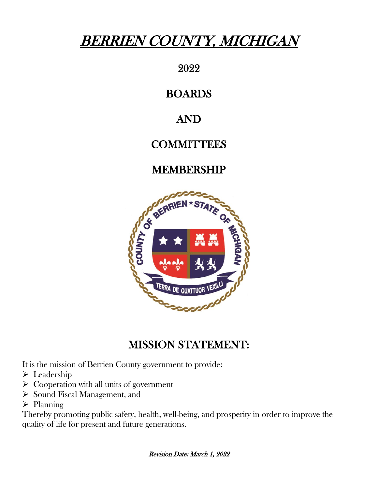# BERRIEN COUNTY, MICHIGAN

2022

## BOARDS

# AND

# **COMMITTEES**

# MEMBERSHIP



# MISSION STATEMENT:

It is the mission of Berrien County government to provide:

- $\triangleright$  Leadership
- $\triangleright$  Cooperation with all units of government
- $\triangleright$  Sound Fiscal Management, and
- $\triangleright$  Planning

Thereby promoting public safety, health, well-being, and prosperity in order to improve the quality of life for present and future generations.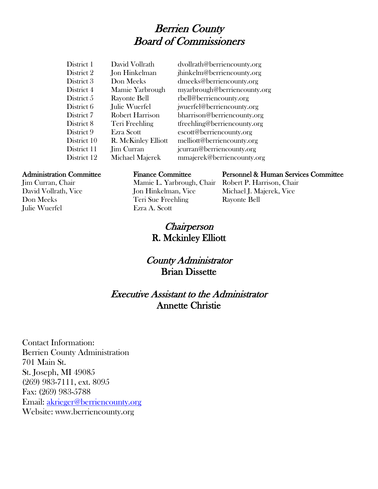## Berrien County Board of Commissioners

| District 1  | David Vollrath         | dvollratl |
|-------------|------------------------|-----------|
| District 2  | Jon Hinkelman          | jhinkeln  |
| District 3  | Don Meeks              | dmeeks    |
| District 4  | Mamie Yarbrough        | myarbro   |
| District 5  | Rayonte Bell           | rbell@bo  |
| District 6  | Julie Wuerfel          | jwuerfel  |
| District 7  | <b>Robert Harrison</b> | bharriso  |
| District 8  | Teri Freehling         | tfreehlin |
| District 9  | Ezra Scott             | escott@   |
| District 10 | R. McKinley Elliott    | melliott  |
| District 11 | <b>Jim Curran</b>      | jcurran@  |
| District 12 | Michael Majerek        | mmajer    |
|             |                        |           |

h@berriencounty.org n@berriencounty.org @berriencounty.org bugh@berriencounty.org erriencounty.org @berriencounty.org n@berriencounty.org ng@berriencounty.org berriencounty.org @berriencounty.org **District 20 District** 20 Decree 20 Decree 20 Decree 20 Decree 20 Decree 20 Decree 20 Decree 20 Decree 20 Decree 20 Decree 20 Decree 20 Decree 20 Decree 20 Decree 20 Decree 20 Decree 20 Decree 20 Decree 20 Decree 20 Decree ek@berriencounty.org

Julie Wuerfel Ezra A. Scott

Jim Curran, Chair Mamie L. Yarbrough, Chair Robert P. Harrison, Chair David Vollrath, Vice Jon Hinkelman, Vice Michael J. Majerek, Vice Don Meeks Teri Sue Freehling Rayonte Bell

#### Administration Committee Finance Committee Personnel & Human Services Committee

**Chairperson** R. Mckinley Elliott

#### County Administrator Brian Dissette

### Executive Assistant to the Administrator Annette Christie

Contact Information: Berrien County Administration 701 Main St. St. Joseph, MI 49085 (269) 983-7111, ext. 8095 Fax: (269) 983-5788 Email: [akrieger@berriencounty.org](mailto:akrieger@berriencounty.org) Website: www.berriencounty.org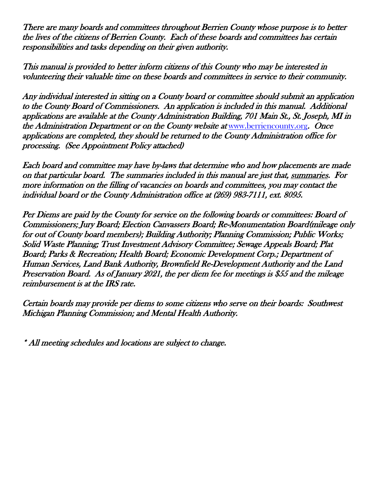There are many boards and committees throughout Berrien County whose purpose is to better the lives of the citizens of Berrien County. Each of these boards and committees has certain responsibilities and tasks depending on their given authority.

This manual is provided to better inform citizens of this County who may be interested in volunteering their valuable time on these boards and committees in service to their community.

Any individual interested in sitting on a County board or committee should submit an application to the County Board of Commissioners. An application is included in this manual. Additional applications are available at the County Administration Building, 701 Main St., St. Joseph, MI in the Administration Department or on the County website at [www.berriencounty.org](http://www.berriencounty.org/). Once applications are completed, they should be returned to the County Administration office for processing. (See Appointment Policy attached)

Each board and committee may have by-laws that determine who and how placements are made on that particular board. The summaries included in this manual are just that, summaries. For more information on the filling of vacancies on boards and committees, you may contact the individual board or the County Administration office at (269) 983-7111, ext. 8095.

Per Diems are paid by the County for service on the following boards or committees: Board of Commissioners; Jury Board; Election Canvassers Board; Re-Monumentation Board(mileage only for out of County board members); Building Authority; Planning Commission; Public Works; Solid Waste Planning; Trust Investment Advisory Committee; Sewage Appeals Board; Plat Board; Parks & Recreation; Health Board; Economic Development Corp.; Department of Human Services, Land Bank Authority, Brownfield Re-Development Authority and the Land Preservation Board. As of January 2021, the per diem fee for meetings is \$55 and the mileage reimbursement is at the IRS rate.

Certain boards may provide per diems to some citizens who serve on their boards: Southwest Michigan Planning Commission; and Mental Health Authority.

\* All meeting schedules and locations are subject to change.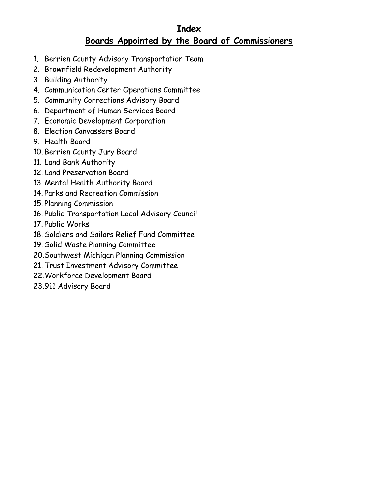#### **Index Boards Appointed by the Board of Commissioners**

- 1. Berrien County Advisory Transportation Team
- 2. Brownfield Redevelopment Authority
- 3. Building Authority
- 4. Communication Center Operations Committee
- 5. Community Corrections Advisory Board
- 6. Department of Human Services Board
- 7. Economic Development Corporation
- 8. Election Canvassers Board
- 9. Health Board
- 10. Berrien County Jury Board
- 11. Land Bank Authority
- 12. Land Preservation Board
- 13. Mental Health Authority Board
- 14. Parks and Recreation Commission
- 15. Planning Commission
- 16. Public Transportation Local Advisory Council
- 17. Public Works
- 18. Soldiers and Sailors Relief Fund Committee
- 19. Solid Waste Planning Committee
- 20.Southwest Michigan Planning Commission
- 21. Trust Investment Advisory Committee
- 22.Workforce Development Board
- 23.911 Advisory Board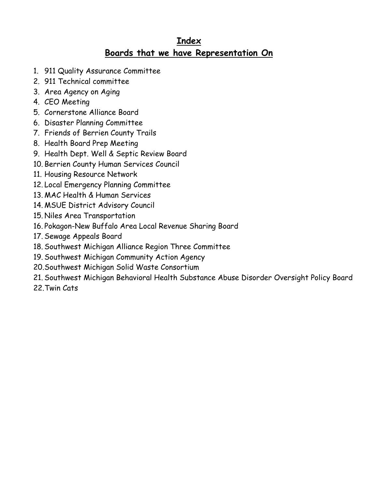### **Index Boards that we have Representation On**

- 1. 911 Quality Assurance Committee
- 2. 911 Technical committee
- 3. Area Agency on Aging
- 4. CEO Meeting
- 5. Cornerstone Alliance Board
- 6. Disaster Planning Committee
- 7. Friends of Berrien County Trails
- 8. Health Board Prep Meeting
- 9. Health Dept. Well & Septic Review Board
- 10. Berrien County Human Services Council
- 11. Housing Resource Network
- 12. Local Emergency Planning Committee
- 13. MAC Health & Human Services
- 14. MSUE District Advisory Council
- 15. Niles Area Transportation
- 16. Pokagon-New Buffalo Area Local Revenue Sharing Board
- 17. Sewage Appeals Board
- 18. Southwest Michigan Alliance Region Three Committee
- 19. Southwest Michigan Community Action Agency
- 20.Southwest Michigan Solid Waste Consortium
- 21. Southwest Michigan Behavioral Health Substance Abuse Disorder Oversight Policy Board
- 22.Twin Cats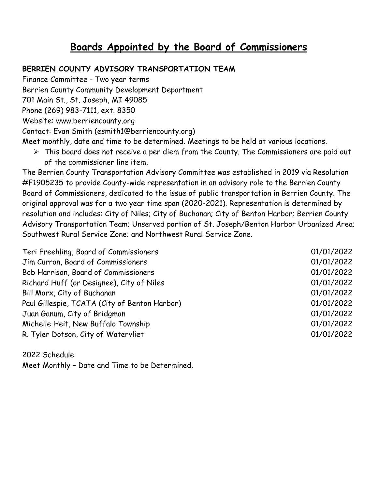## **Boards Appointed by the Board of Commissioners**

#### **BERRIEN COUNTY ADVISORY TRANSPORTATION TEAM**

Finance Committee - Two year terms Berrien County Community Development Department

701 Main St., St. Joseph, MI 49085

Phone (269) 983-7111, ext. 8350

Website: www.berriencounty.org

Contact: Evan Smith (esmith1@berriencounty.org)

Meet monthly, date and time to be determined. Meetings to be held at various locations.

 $\triangleright$  This board does not receive a per diem from the County. The Commissioners are paid out of the commissioner line item.

The Berrien County Transportation Advisory Committee was established in 2019 via Resolution #F1905235 to provide County-wide representation in an advisory role to the Berrien County Board of Commissioners, dedicated to the issue of public transportation in Berrien County. The original approval was for a two year time span (2020-2021). Representation is determined by resolution and includes: City of Niles; City of Buchanan; City of Benton Harbor; Berrien County Advisory Transportation Team; Unserved portion of St. Joseph/Benton Harbor Urbanized Area; Southwest Rural Service Zone; and Northwest Rural Service Zone.

| Jim Curran, Board of Commissioners<br>01/01/2022<br>01/01/2022<br>01/01/2022<br>01/01/2022<br>01/01/2022                                                          |
|-------------------------------------------------------------------------------------------------------------------------------------------------------------------|
| Bob Harrison, Board of Commissioners<br>Richard Huff (or Designee), City of Niles<br>Bill Marx, City of Buchanan<br>Paul Gillespie, TCATA (City of Benton Harbor) |
|                                                                                                                                                                   |
|                                                                                                                                                                   |
|                                                                                                                                                                   |
|                                                                                                                                                                   |
| 01/01/2022<br>Juan Ganum, City of Bridgman                                                                                                                        |
| Michelle Heit, New Buffalo Township<br>01/01/2022                                                                                                                 |
| R. Tyler Dotson, City of Watervliet<br>01/01/2022                                                                                                                 |

2022 Schedule Meet Monthly – Date and Time to be Determined.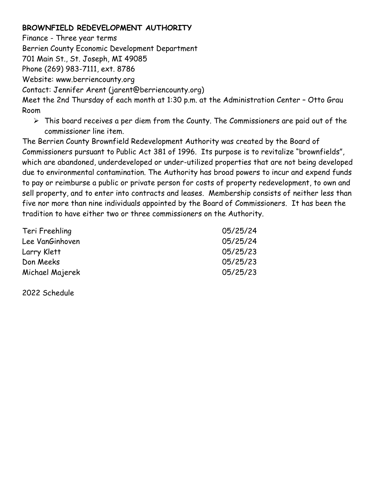#### **BROWNFIELD REDEVELOPMENT AUTHORITY**

Finance - Three year terms

Berrien County Economic Development Department

701 Main St., St. Joseph, MI 49085

Phone (269) 983-7111, ext. 8786

Website: www.berriencounty.org

Contact: Jennifer Arent (jarent@berriencounty.org)

Meet the 2nd Thursday of each month at 1:30 p.m. at the Administration Center – Otto Grau Room

 $\triangleright$  This board receives a per diem from the County. The Commissioners are paid out of the commissioner line item.

The Berrien County Brownfield Redevelopment Authority was created by the Board of Commissioners pursuant to Public Act 381 of 1996. Its purpose is to revitalize "brownfields", which are abandoned, underdeveloped or under-utilized properties that are not being developed due to environmental contamination. The Authority has broad powers to incur and expend funds to pay or reimburse a public or private person for costs of property redevelopment, to own and sell property, and to enter into contracts and leases. Membership consists of neither less than five nor more than nine individuals appointed by the Board of Commissioners. It has been the tradition to have either two or three commissioners on the Authority.

| Teri Freehling  | 05/25/24 |
|-----------------|----------|
| Lee VanGinhoven | 05/25/24 |
| Larry Klett     | 05/25/23 |
| Don Meeks       | 05/25/23 |
| Michael Majerek | 05/25/23 |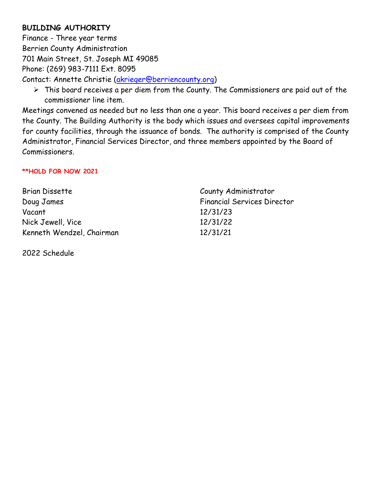#### **BUILDING AUTHORITY**

Finance - Three year terms Berrien County Administration 701 Main Street, St. Joseph MI 49085 Phone: (269) 983-7111 Ext. 8095 Contact: Annette Christie [\(akrieger@berriencounty.org\)](mailto:akrieger@berriencounty.org)

 $\triangleright$  This board receives a per diem from the County. The Commissioners are paid out of the commissioner line item.

Meetings convened as needed but no less than one a year. This board receives a per diem from the County. The Building Authority is the body which issues and oversees capital improvements for county facilities, through the issuance of bonds. The authority is comprised of the County Administrator, Financial Services Director, and three members appointed by the Board of Commissioners.

#### **\*\*HOLD FOR NOW 2021**

| <b>Brian Dissette</b>     | County Administrator               |
|---------------------------|------------------------------------|
| Doug James                | <b>Financial Services Director</b> |
| Vacant                    | 12/31/23                           |
| Nick Jewell, Vice         | 12/31/22                           |
| Kenneth Wendzel, Chairman | 12/31/21                           |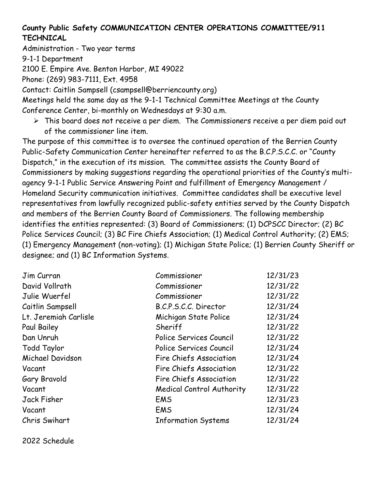#### **County Public Safety COMMUNICATION CENTER OPERATIONS COMMITTEE/911 TECHNICAL**

Administration - Two year terms

9-1-1 Department

2100 E. Empire Ave. Benton Harbor, MI 49022

Phone: (269) 983-7111, Ext. 4958

Contact: Caitlin Sampsell (csampsell@berriencounty.org)

Meetings held the same day as the 9-1-1 Technical Committee Meetings at the County Conference Center, bi-monthly on Wednesdays at 9:30 a.m.

 $\triangleright$  This board does not receive a per diem. The Commissioners receive a per diem paid out of the commissioner line item.

The purpose of this committee is to oversee the continued operation of the Berrien County Public-Safety Communication Center hereinafter referred to as the B.C.P.S.C.C. or "County Dispatch," in the execution of its mission. The committee assists the County Board of Commissioners by making suggestions regarding the operational priorities of the County's multiagency 9-1-1 Public Service Answering Point and fulfillment of Emergency Management / Homeland Security communication initiatives. Committee candidates shall be executive level representatives from lawfully recognized public-safety entities served by the County Dispatch and members of the Berrien County Board of Commissioners. The following membership identifies the entities represented: (3) Board of Commissioners; (1) DCPSCC Director; (2) BC Police Services Council; (3) BC Fire Chiefs Association; (1) Medical Control Authority; (2) EMS; (1) Emergency Management (non-voting); (1) Michigan State Police; (1) Berrien County Sheriff or designee; and (1) BC Information Systems.

| Jim Curran            | Commissioner                     | 12/31/23 |
|-----------------------|----------------------------------|----------|
| David Vollrath        | Commissioner                     | 12/31/22 |
| Julie Wuerfel         | Commissioner                     | 12/31/22 |
| Caitlin Sampsell      | B.C.P.S.C.C. Director            | 12/31/24 |
| Lt. Jeremiah Carlisle | Michigan State Police            | 12/31/24 |
| Paul Bailey           | Sheriff                          | 12/31/22 |
| Dan Unruh             | Police Services Council          | 12/31/22 |
| <b>Todd Taylor</b>    | Police Services Council          | 12/31/24 |
| Michael Davidson      | Fire Chiefs Association          | 12/31/24 |
| Vacant                | Fire Chiefs Association          | 12/31/22 |
| Gary Bravold          | Fire Chiefs Association          | 12/31/22 |
| Vacant                | <b>Medical Control Authority</b> | 12/31/22 |
| Jack Fisher           | <b>EMS</b>                       | 12/31/23 |
| Vacant                | <b>EMS</b>                       | 12/31/24 |
| Chris Swihart         | <b>Information Systems</b>       | 12/31/24 |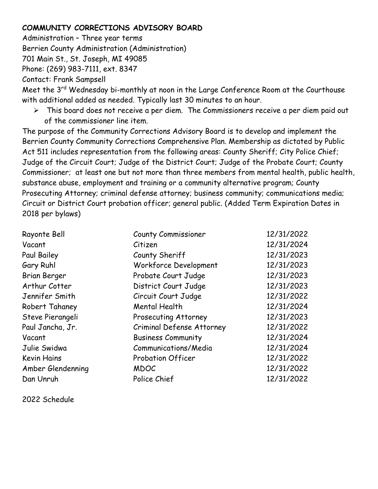#### **COMMUNITY CORRECTIONS ADVISORY BOARD**

Administration – Three year terms Berrien County Administration (Administration) 701 Main St., St. Joseph, MI 49085 Phone: (269) 983-7111, ext. 8347 Contact: Frank Sampsell

Meet the 3<sup>rd</sup> Wednesday bi-monthly at noon in the Large Conference Room at the Courthouse with additional added as needed. Typically last 30 minutes to an hour.

 $\triangleright$  This board does not receive a per diem. The Commissioners receive a per diem paid out of the commissioner line item.

The purpose of the Community Corrections Advisory Board is to develop and implement the Berrien County Community Corrections Comprehensive Plan. Membership as dictated by Public Act 511 includes representation from the following areas: County Sheriff; City Police Chief; Judge of the Circuit Court; Judge of the District Court; Judge of the Probate Court; County Commissioner; at least one but not more than three members from mental health, public health, substance abuse, employment and training or a community alternative program; County Prosecuting Attorney; criminal defense attorney; business community; communications media; Circuit or District Court probation officer; general public. (Added Term Expiration Dates in 2018 per bylaws)

| Rayonte Bell        | <b>County Commissioner</b> | 12/31/2022 |
|---------------------|----------------------------|------------|
| Vacant              | Citizen                    | 12/31/2024 |
| Paul Bailey         | County Sheriff             | 12/31/2023 |
| Gary Ruhl           | Workforce Development      | 12/31/2023 |
| <b>Brian Berger</b> | Probate Court Judge        | 12/31/2023 |
| Arthur Cotter       | District Court Judge       | 12/31/2023 |
| Jennifer Smith      | Circuit Court Judge        | 12/31/2022 |
| Robert Tahaney      | Mental Health              | 12/31/2024 |
| Steve Pierangeli    | Prosecuting Attorney       | 12/31/2023 |
| Paul Jancha, Jr.    | Criminal Defense Attorney  | 12/31/2022 |
| Vacant              | <b>Business Community</b>  | 12/31/2024 |
| Julie Swidwa        | Communications/Media       | 12/31/2024 |
| <b>Kevin Hains</b>  | Probation Officer          | 12/31/2022 |
| Amber Glendenning   | <b>MDOC</b>                | 12/31/2022 |
| Dan Unruh           | Police Chief               | 12/31/2022 |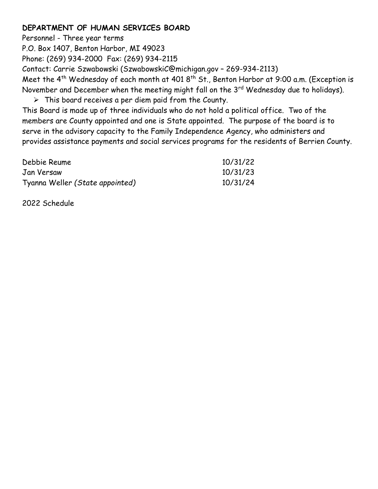#### **DEPARTMENT OF HUMAN SERVICES BOARD**

Personnel - Three year terms P.O. Box 1407, Benton Harbor, MI 49023 Phone: (269) 934-2000 Fax: (269) 934-2115 Contact: Carrie Szwabowski (SzwabowskiC@michigan.gov – 269-934-2113) Meet the 4<sup>th</sup> Wednesday of each month at 401 8<sup>th</sup> St., Benton Harbor at 9:00 a.m. (Exception is November and December when the meeting might fall on the 3<sup>rd</sup> Wednesday due to holidays).  $\triangleright$  This board receives a per diem paid from the County.

This Board is made up of three individuals who do not hold a political office. Two of the members are County appointed and one is State appointed. The purpose of the board is to serve in the advisory capacity to the Family Independence Agency, who administers and provides assistance payments and social services programs for the residents of Berrien County.

| Debbie Reume                    | 10/31/22 |
|---------------------------------|----------|
| Jan Versaw                      | 10/31/23 |
| Tyanna Weller (State appointed) | 10/31/24 |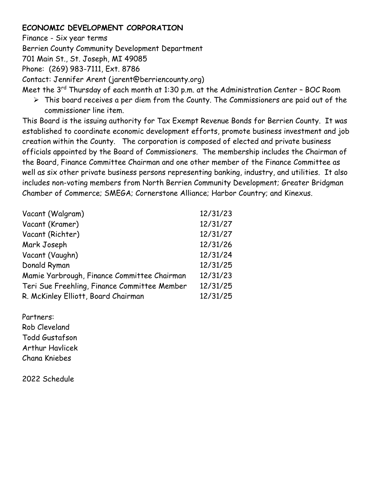#### **ECONOMIC DEVELOPMENT CORPORATION**

Finance - Six year terms Berrien County Community Development Department 701 Main St., St. Joseph, MI 49085 Phone: (269) 983-7111, Ext. 8786 Contact: Jennifer Arent (jarent@berriencounty.org)

- Meet the 3<sup>rd</sup> Thursday of each month at 1:30 p.m. at the Administration Center BOC Room
	- $\triangleright$  This board receives a per diem from the County. The Commissioners are paid out of the commissioner line item.

This Board is the issuing authority for Tax Exempt Revenue Bonds for Berrien County. It was established to coordinate economic development efforts, promote business investment and job creation within the County. The corporation is composed of elected and private business officials appointed by the Board of Commissioners. The membership includes the Chairman of the Board, Finance Committee Chairman and one other member of the Finance Committee as well as six other private business persons representing banking, industry, and utilities. It also includes non-voting members from North Berrien Community Development; Greater Bridgman Chamber of Commerce; SMEGA; Cornerstone Alliance; Harbor Country; and Kinexus.

| Vacant (Walgram)                             | 12/31/23 |
|----------------------------------------------|----------|
| Vacant (Kramer)                              | 12/31/27 |
| Vacant (Richter)                             | 12/31/27 |
| Mark Joseph                                  | 12/31/26 |
| Vacant (Vaughn)                              | 12/31/24 |
| Donald Ryman                                 | 12/31/25 |
| Mamie Yarbrough, Finance Committee Chairman  | 12/31/23 |
| Teri Sue Freehling, Finance Committee Member | 12/31/25 |
| R. McKinley Elliott, Board Chairman          | 12/31/25 |
|                                              |          |

Partners: Rob Cleveland Todd Gustafson Arthur Havlicek Chana Kniebes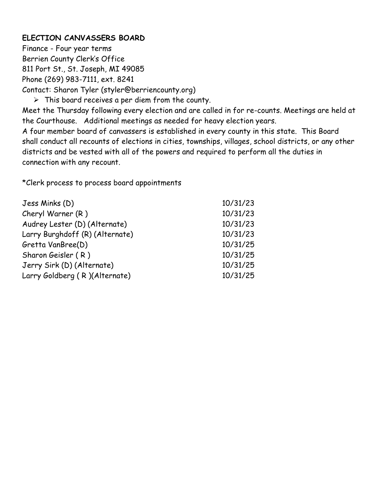#### **ELECTION CANVASSERS BOARD**

Finance - Four year terms Berrien County Clerk's Office 811 Port St., St. Joseph, MI 49085 Phone (269) 983-7111, ext. 8241 Contact: Sharon Tyler (styler@berriencounty.org)

 $\triangleright$  This board receives a per diem from the county.

Meet the Thursday following every election and are called in for re-counts. Meetings are held at the Courthouse. Additional meetings as needed for heavy election years.

A four member board of canvassers is established in every county in this state. This Board shall conduct all recounts of elections in cities, townships, villages, school districts, or any other districts and be vested with all of the powers and required to perform all the duties in connection with any recount.

\*Clerk process to process board appointments

| Jess Minks (D)                  | 10/31/23 |
|---------------------------------|----------|
| Cheryl Warner (R)               | 10/31/23 |
| Audrey Lester (D) (Alternate)   | 10/31/23 |
| Larry Burghdoff (R) (Alternate) | 10/31/23 |
| Gretta VanBree(D)               | 10/31/25 |
| Sharon Geisler (R)              | 10/31/25 |
| Jerry Sirk (D) (Alternate)      | 10/31/25 |
| Larry Goldberg (R)(Alternate)   | 10/31/25 |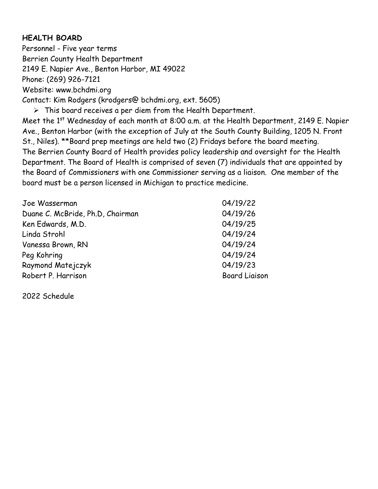#### **HEALTH BOARD**

Personnel - Five year terms Berrien County Health Department 2149 E. Napier Ave., Benton Harbor, MI 49022 Phone: (269) 926-7121 Website: www.bchdmi.org Contact: Kim Rodgers (krodgers@ bchdmi.org, ext. 5605)

 $\triangleright$  This board receives a per diem from the Health Department.

Meet the 1<sup>st</sup> Wednesday of each month at 8:00 a.m. at the Health Department, 2149 E. Napier Ave., Benton Harbor (with the exception of July at the South County Building, 1205 N. Front St., Niles). \*\*Board prep meetings are held two (2) Fridays before the board meeting. The Berrien County Board of Health provides policy leadership and oversight for the Health Department. The Board of Health is comprised of seven (7) individuals that are appointed by the Board of Commissioners with one Commissioner serving as a liaison. One member of the board must be a person licensed in Michigan to practice medicine.

| Joe Wasserman                    | 04/19/22             |
|----------------------------------|----------------------|
| Duane C. McBride, Ph.D. Chairman | 04/19/26             |
| Ken Edwards, M.D.                | 04/19/25             |
| Linda Strohl                     | 04/19/24             |
| Vanessa Brown, RN                | 04/19/24             |
| Peg Kohring                      | 04/19/24             |
| Raymond Matejczyk                | 04/19/23             |
| Robert P. Harrison               | <b>Board Liaison</b> |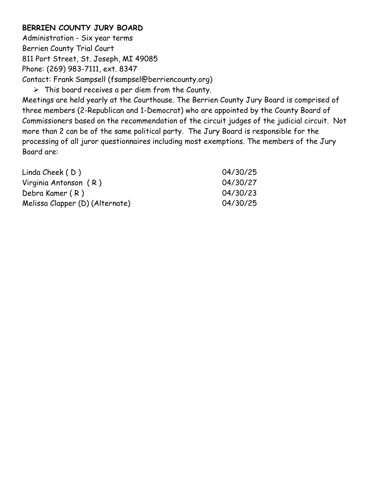#### **BERRIEN COUNTY JURY BOARD**

Administration - Six year terms Berrien County Trial Court 811 Port Street, St. Joseph, MI 49085 Phone: (269) 983-7111, ext. 8347 Contact: Frank Sampsell (fsampsel@berriencounty.org)  $\triangleright$  This board receives a per diem from the County.

Meetings are held yearly at the Courthouse. The Berrien County Jury Board is comprised of three members (2-Republican and 1-Democrat) who are appointed by the County Board of Commissioners based on the recommendation of the circuit judges of the judicial circuit. Not more than 2 can be of the same political party. The Jury Board is responsible for the processing of all juror questionnaires including most exemptions. The members of the Jury Board are:

| Linda Cheek $(D)$               | 04/30/25 |
|---------------------------------|----------|
| Virginia Antonson (R)           | 04/30/27 |
| Debra Kamer (R)                 | 04/30/23 |
| Melissa Clapper (D) (Alternate) | 04/30/25 |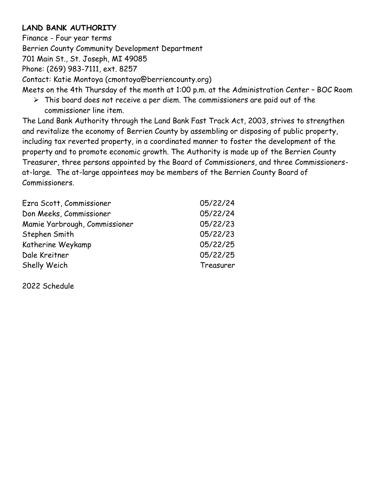#### **LAND BANK AUTHORITY**

Finance - Four year terms Berrien County Community Development Department 701 Main St., St. Joseph, MI 49085 Phone: (269) 983-7111, ext. 8257 Contact: Katie Montoya (cmontoya@berriencounty.org) Meets on the 4th Thursday of the month at 1:00 p.m. at the Administration Center – BOC Room

 $\triangleright$  This board does not receive a per diem. The commissioners are paid out of the commissioner line item.

The Land Bank Authority through the Land Bank Fast Track Act, 2003, strives to strengthen and revitalize the economy of Berrien County by assembling or disposing of public property, including tax reverted property, in a coordinated manner to foster the development of the property and to promote economic growth. The Authority is made up of the Berrien County Treasurer, three persons appointed by the Board of Commissioners, and three Commissionersat-large. The at-large appointees may be members of the Berrien County Board of Commissioners.

| Ezra Scott, Commissioner      | 05/22/24  |
|-------------------------------|-----------|
| Don Meeks, Commissioner       | 05/22/24  |
| Mamie Yarbrough, Commissioner | 05/22/23  |
| Stephen Smith                 | 05/22/23  |
| Katherine Weykamp             | 05/22/25  |
| Dale Kreitner                 | 05/22/25  |
| Shelly Weich                  | Treasurer |
|                               |           |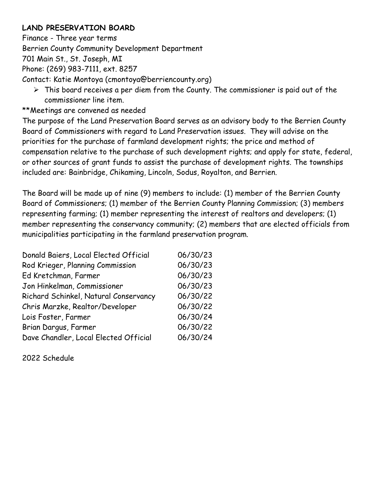#### **LAND PRESERVATION BOARD**

Finance - Three year terms Berrien County Community Development Department 701 Main St., St. Joseph, MI Phone: (269) 983-7111, ext. 8257 Contact: Katie Montoya (cmontoya@berriencounty.org)

- $\triangleright$  This board receives a per diem from the County. The commissioner is paid out of the commissioner line item.
- \*\*Meetings are convened as needed

The purpose of the Land Preservation Board serves as an advisory body to the Berrien County Board of Commissioners with regard to Land Preservation issues. They will advise on the priorities for the purchase of farmland development rights; the price and method of compensation relative to the purchase of such development rights; and apply for state, federal, or other sources of grant funds to assist the purchase of development rights. The townships included are: Bainbridge, Chikaming, Lincoln, Sodus, Royalton, and Berrien.

The Board will be made up of nine (9) members to include: (1) member of the Berrien County Board of Commissioners; (1) member of the Berrien County Planning Commission; (3) members representing farming; (1) member representing the interest of realtors and developers; (1) member representing the conservancy community; (2) members that are elected officials from municipalities participating in the farmland preservation program.

| Donald Baiers, Local Elected Official | 06/30/23 |
|---------------------------------------|----------|
| Rod Krieger, Planning Commission      | 06/30/23 |
| Ed Kretchman, Farmer                  | 06/30/23 |
| Jon Hinkelman, Commissioner           | 06/30/23 |
| Richard Schinkel, Natural Conservancy | 06/30/22 |
| Chris Marzke, Realtor/Developer       | 06/30/22 |
| Lois Foster, Farmer                   | 06/30/24 |
| Brian Dargus, Farmer                  | 06/30/22 |
| Dave Chandler, Local Elected Official | 06/30/24 |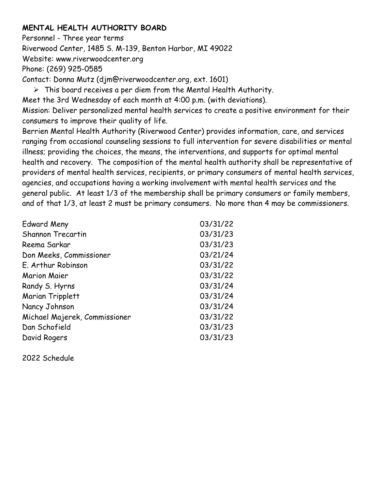#### **MENTAL HEALTH AUTHORITY BOARD**

Personnel - Three year terms Riverwood Center, 1485 S. M-139, Benton Harbor, MI 49022 Website: www.riverwoodcenter.org Phone: (269) 925-0585 Contact: Donna Mutz (djm@riverwoodcenter.org, ext. 1601)  $\triangleright$  This board receives a per diem from the Mental Health Authority.

Meet the 3rd Wednesday of each month at 4:00 p.m. (with deviations). Mission: Deliver personalized mental health services to create a positive environment for their consumers to improve their quality of life.

Berrien Mental Health Authority (Riverwood Center) provides information, care, and services ranging from occasional counseling sessions to full intervention for severe disabilities or mental illness; providing the choices, the means, the interventions, and supports for optimal mental health and recovery. The composition of the mental health authority shall be representative of providers of mental health services, recipients, or primary consumers of mental health services, agencies, and occupations having a working involvement with mental health services and the general public. At least 1/3 of the membership shall be primary consumers or family members, and of that 1/3, at least 2 must be primary consumers. No more than 4 may be commissioners.

| <b>Edward Meny</b>            | 03/31/22 |
|-------------------------------|----------|
| <b>Shannon Trecartin</b>      | 03/31/23 |
| Reema Sarkar                  | 03/31/23 |
| Don Meeks, Commissioner       | 03/21/24 |
| E. Arthur Robinson            | 03/31/22 |
| <b>Marion Maier</b>           | 03/31/22 |
| Randy S. Hyrns                | 03/31/24 |
| <b>Marian Tripplett</b>       | 03/31/24 |
| Nancy Johnson                 | 03/31/24 |
| Michael Majerek, Commissioner | 03/31/22 |
| Dan Schofield                 | 03/31/23 |
| David Rogers                  | 03/31/23 |
|                               |          |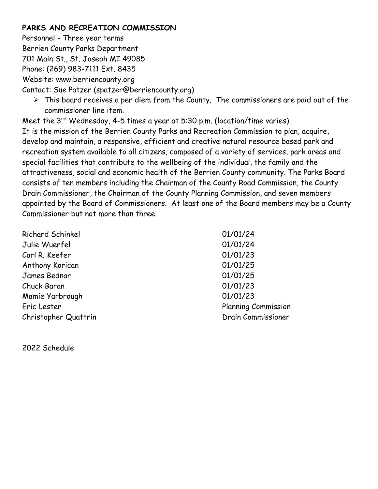#### **PARKS AND RECREATION COMMISSION**

Personnel - Three year terms Berrien County Parks Department 701 Main St., St. Joseph MI 49085 Phone: (269) 983-7111 Ext. 8435 Website: www.berriencounty.org

Contact: Sue Patzer (spatzer@berriencounty.org)

 $\triangleright$  This board receives a per diem from the County. The commissioners are paid out of the commissioner line item.

Meet the  $3^{rd}$  Wednesday, 4-5 times a year at 5:30 p.m. (location/time varies) It is the mission of the Berrien County Parks and Recreation Commission to plan, acquire, develop and maintain, a responsive, efficient and creative natural resource based park and recreation system available to all citizens, composed of a variety of services, park areas and special facilities that contribute to the wellbeing of the individual, the family and the attractiveness, social and economic health of the Berrien County community. The Parks Board consists of ten members including the Chairman of the County Road Commission, the County Drain Commissioner, the Chairman of the County Planning Commission, and seven members appointed by the Board of Commissioners. At least one of the Board members may be a County Commissioner but not more than three.

| <b>Richard Schinkel</b> | 01/01/24                   |
|-------------------------|----------------------------|
| Julie Wuerfel           | 01/01/24                   |
| Carl R. Keefer          | 01/01/23                   |
| Anthony Korican         | 01/01/25                   |
| James Bednar            | 01/01/25                   |
| Chuck Baran             | 01/01/23                   |
| Mamie Yarbrough         | 01/01/23                   |
| Eric Lester             | <b>Planning Commission</b> |
| Christopher Quattrin    | Drain Commissioner         |
|                         |                            |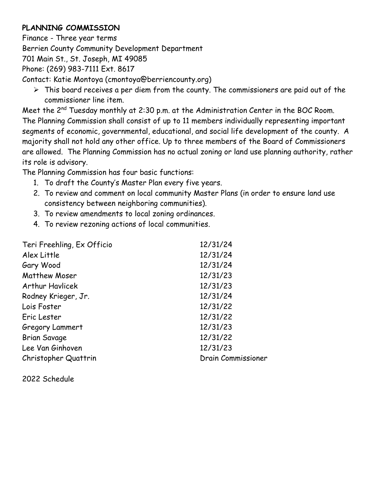#### **PLANNING COMMISSION**

Finance - Three year terms

Berrien County Community Development Department

701 Main St., St. Joseph, MI 49085

Phone: (269) 983-7111 Ext. 8617

Contact: Katie Montoya (cmontoya@berriencounty.org)

 $\triangleright$  This board receives a per diem from the county. The commissioners are paid out of the commissioner line item.

Meet the 2<sup>nd</sup> Tuesday monthly at 2:30 p.m. at the Administration Center in the BOC Room. The Planning Commission shall consist of up to 11 members individually representing important segments of economic, governmental, educational, and social life development of the county. A majority shall not hold any other office. Up to three members of the Board of Commissioners are allowed. The Planning Commission has no actual zoning or land use planning authority, rather its role is advisory.

The Planning Commission has four basic functions:

- 1. To draft the County's Master Plan every five years.
- 2. To review and comment on local community Master Plans (in order to ensure land use consistency between neighboring communities).
- 3. To review amendments to local zoning ordinances.
- 4. To review rezoning actions of local communities.

| 12/31/24                  |
|---------------------------|
| 12/31/24                  |
| 12/31/24                  |
| 12/31/23                  |
| 12/31/23                  |
| 12/31/24                  |
| 12/31/22                  |
| 12/31/22                  |
| 12/31/23                  |
| 12/31/22                  |
| 12/31/23                  |
| <b>Drain Commissioner</b> |
|                           |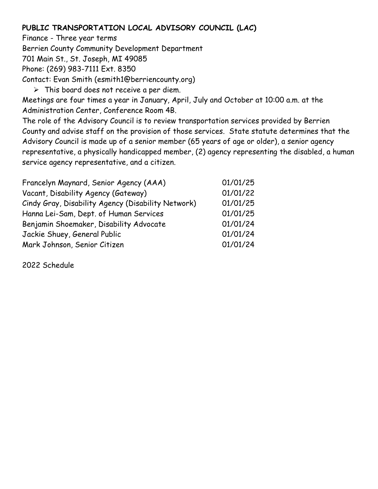#### **PUBLIC TRANSPORTATION LOCAL ADVISORY COUNCIL (LAC)**

Finance - Three year terms Berrien County Community Development Department 701 Main St., St. Joseph, MI 49085 Phone: (269) 983-7111 Ext. 8350 Contact: Evan Smith (esmith1@berriencounty.org)  $\triangleright$  This board does not receive a per diem. Meetings are four times a year in January, April, July and October at 10:00 a.m. at the Administration Center, Conference Room 4B. The role of the Advisory Council is to review transportation services provided by Berrien County and advise staff on the provision of those services. State statute determines that the Advisory Council is made up of a senior member (65 years of age or older), a senior agency representative, a physically handicapped member, (2) agency representing the disabled, a human service agency representative, and a citizen.

| Francelyn Maynard, Senior Agency (AAA)             | 01/01/25 |
|----------------------------------------------------|----------|
| Vacant, Disability Agency (Gateway)                | 01/01/22 |
| Cindy Gray, Disability Agency (Disability Network) | 01/01/25 |
| Hanna Lei-Sam, Dept. of Human Services             | 01/01/25 |
| Benjamin Shoemaker, Disability Advocate            | 01/01/24 |
| Jackie Shuey, General Public                       | 01/01/24 |
| Mark Johnson, Senior Citizen                       | 01/01/24 |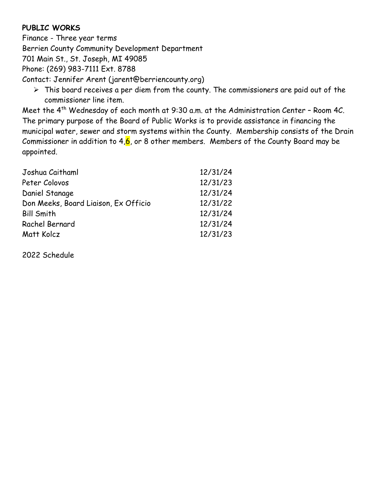#### **PUBLIC WORKS**

Finance - Three year terms Berrien County Community Development Department 701 Main St., St. Joseph, MI 49085 Phone: (269) 983-7111 Ext. 8788 Contact: Jennifer Arent (jarent@berriencounty.org)

 $\triangleright$  This board receives a per diem from the county. The commissioners are paid out of the commissioner line item.

Meet the 4<sup>th</sup> Wednesday of each month at 9:30 a.m. at the Administration Center - Room 4C. The primary purpose of the Board of Public Works is to provide assistance in financing the municipal water, sewer and storm systems within the County. Membership consists of the Drain Commissioner in addition to  $4,6$ , or 8 other members. Members of the County Board may be appointed.

| Joshua Caithaml                      | 12/31/24 |
|--------------------------------------|----------|
| Peter Colovos                        | 12/31/23 |
| Daniel Stanage                       | 12/31/24 |
| Don Meeks, Board Liaison, Ex Officio | 12/31/22 |
| <b>Bill Smith</b>                    | 12/31/24 |
| Rachel Bernard                       | 12/31/24 |
| Matt Kolcz                           | 12/31/23 |
|                                      |          |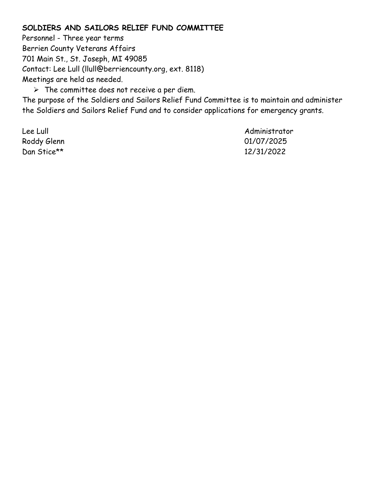#### **SOLDIERS AND SAILORS RELIEF FUND COMMITTEE**

Personnel - Three year terms Berrien County Veterans Affairs 701 Main St., St. Joseph, MI 49085 Contact: Lee Lull (llull@berriencounty.org, ext. 8118) Meetings are held as needed.  $\triangleright$  The committee does not receive a per diem.

The purpose of the Soldiers and Sailors Relief Fund Committee is to maintain and administer the Soldiers and Sailors Relief Fund and to consider applications for emergency grants.

Dan Stice\*\* 12/31/2022

Lee Lull Administrator Roddy Glenn 01/07/2025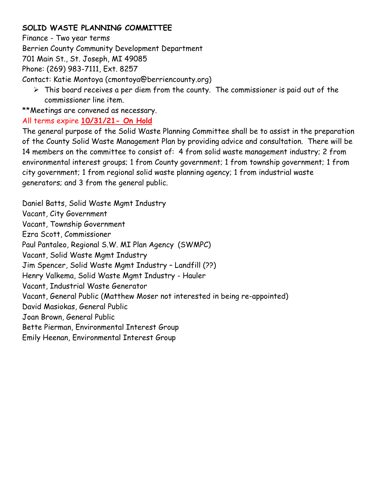#### **SOLID WASTE PLANNING COMMITTEE**

Finance - Two year terms

Berrien County Community Development Department

701 Main St., St. Joseph, MI 49085

Phone: (269) 983-7111, Ext. 8257

Contact: Katie Montoya (cmontoya@berriencounty.org)

 $\triangleright$  This board receives a per diem from the county. The commissioner is paid out of the commissioner line item.

\*\*Meetings are convened as necessary.

### All terms expire **10/31/21- On Hold**

The general purpose of the Solid Waste Planning Committee shall be to assist in the preparation of the County Solid Waste Management Plan by providing advice and consultation. There will be 14 members on the committee to consist of: 4 from solid waste management industry; 2 from environmental interest groups; 1 from County government; 1 from township government; 1 from city government; 1 from regional solid waste planning agency; 1 from industrial waste generators; and 3 from the general public.

Daniel Batts, Solid Waste Mgmt Industry Vacant, City Government Vacant, Township Government Ezra Scott, Commissioner Paul Pantaleo, Regional S.W. MI Plan Agency (SWMPC) Vacant, Solid Waste Mgmt Industry Jim Spencer, Solid Waste Mgmt Industry – Landfill (??) Henry Valkema, Solid Waste Mgmt Industry - Hauler Vacant, Industrial Waste Generator Vacant, General Public (Matthew Moser not interested in being re-appointed) David Masiokas, General Public Joan Brown, General Public Bette Pierman, Environmental Interest Group Emily Heenan, Environmental Interest Group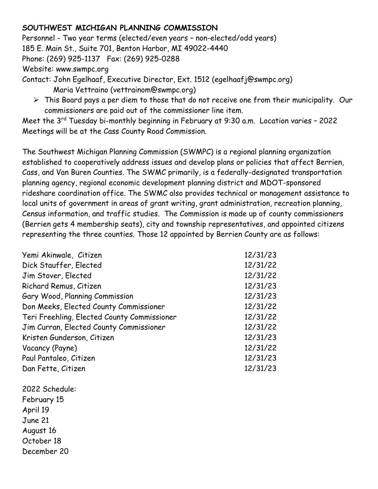#### **SOUTHWEST MICHIGAN PLANNING COMMISSION**

Personnel - Two year terms (elected/even years – non-elected/odd years) 185 E. Main St., Suite 701, Benton Harbor, MI 49022-4440 Phone: (269) 925-1137 Fax: (269) 925-0288 Website: www.swmpc.org Contact: John Egelhaaf, Executive Director, Ext. 1512 (egelhaafj@swmpc.org)

- Maria Vettraino (vettrainom@swmpc.org)
- $\triangleright$  This Board pays a per diem to those that do not receive one from their municipality. Our commissioners are paid out of the commissioner line item.

Meet the 3<sup>rd</sup> Tuesday bi-monthly beginning in February at 9:30 a.m. Location varies – 2022 Meetings will be at the Cass County Road Commission.

The Southwest Michigan Planning Commission (SWMPC) is a regional planning organization established to cooperatively address issues and develop plans or policies that affect Berrien, Cass, and Van Buren Counties. The SWMC primarily, is a federally-designated transportation planning agency, regional economic development planning district and MDOT-sponsored rideshare coordination office. The SWMC also provides technical or management assistance to local units of government in areas of grant writing, grant administration, recreation planning, Census information, and traffic studies. The Commission is made up of county commissioners (Berrien gets 4 membership seats), city and township representatives, and appointed citizens representing the three counties. Those 12 appointed by Berrien County are as follows:

| Yemi Akinwale, Citizen                      | 12/31/23 |
|---------------------------------------------|----------|
| Dick Stauffer, Elected                      | 12/31/22 |
| Jim Stover, Elected                         | 12/31/22 |
| Richard Remus, Citizen                      | 12/31/23 |
| Gary Wood, Planning Commission              | 12/31/23 |
| Don Meeks, Elected County Commissioner      | 12/31/22 |
| Teri Freehling, Elected County Commissioner | 12/31/22 |
| Jim Curran, Elected County Commissioner     | 12/31/22 |
| Kristen Gunderson, Citizen                  | 12/31/23 |
| Vacancy (Payne)                             | 12/31/22 |
| Paul Pantaleo, Citizen                      | 12/31/23 |
| Dan Fette, Citizen                          | 12/31/23 |

2022 Schedule: February 15 April 19 June 21 August 16 October 18 December 20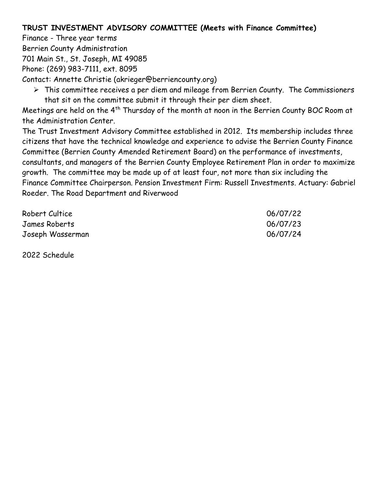#### **TRUST INVESTMENT ADVISORY COMMITTEE (Meets with Finance Committee)**

Finance - Three year terms Berrien County Administration 701 Main St., St. Joseph, MI 49085 Phone: (269) 983-7111, ext. 8095

Contact: Annette Christie (akrieger@berriencounty.org)

 $\triangleright$  This committee receives a per diem and mileage from Berrien County. The Commissioners that sit on the committee submit it through their per diem sheet.

Meetings are held on the 4<sup>th</sup> Thursday of the month at noon in the Berrien County BOC Room at the Administration Center.

The Trust Investment Advisory Committee established in 2012. Its membership includes three citizens that have the technical knowledge and experience to advise the Berrien County Finance Committee (Berrien County Amended Retirement Board) on the performance of investments,

consultants, and managers of the Berrien County Employee Retirement Plan in order to maximize growth. The committee may be made up of at least four, not more than six including the

Finance Committee Chairperson. Pension Investment Firm: Russell Investments. Actuary: Gabriel Roeder. The Road Department and Riverwood

| Robert Cultice   | 06/07/22 |
|------------------|----------|
| James Roberts    | 06/07/23 |
| Joseph Wasserman | 06/07/24 |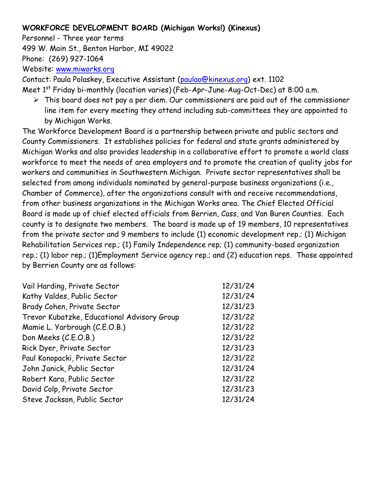#### **WORKFORCE DEVELOPMENT BOARD (Michigan Works!) (Kinexus)**

Personnel - Three year terms

499 W. Main St., Benton Harbor, MI 49022

Phone: (269) 927-1064

Website: [www.miworks.org](http://www.miworks.org/)

Contact: Paula Polaskey, Executive Assistant [\(paulao@kinexus.org\)](mailto:paulao@kinexus.org) ext. 1102

Meet 1<sup>st</sup> Friday bi-monthly (location varies) (Feb-Apr-June-Aug-Oct-Dec) at 8:00 a.m.

 $\triangleright$  This board does not pay a per diem. Our commissioners are paid out of the commissioner line item for every meeting they attend including sub-committees they are appointed to by Michigan Works.

The Workforce Development Board is a partnership between private and public sectors and County Commissioners. It establishes policies for federal and state grants administered by Michigan Works and also provides leadership in a collaborative effort to promote a world class workforce to meet the needs of area employers and to promote the creation of quality jobs for workers and communities in Southwestern Michigan. Private sector representatives shall be selected from among individuals nominated by general-purpose business organizations (i.e., Chamber of Commerce), after the organizations consult with and receive recommendations, from other business organizations in the Michigan Works area. The Chief Elected Official Board is made up of chief elected officials from Berrien, Cass, and Van Buren Counties. Each county is to designate two members. The board is made up of 19 members, 10 representatives from the private sector and 9 members to include (1) economic development rep.; (1) Michigan Rehabilitation Services rep.; (1) Family Independence rep; (1) community-based organization rep.; (1) labor rep.; (1)Employment Service agency rep.; and (2) education reps. Those appointed by Berrien County are as follows:

| Vail Harding, Private Sector                | 12/31/24 |
|---------------------------------------------|----------|
| Kathy Valdes, Public Sector                 | 12/31/24 |
| Brady Cohen, Private Sector                 | 12/31/23 |
| Trevor Kubatzke, Educational Advisory Group | 12/31/22 |
| Mamie L. Yarbrough (C.E.O.B.)               | 12/31/22 |
| Don Meeks (C.E.O.B.)                        | 12/31/22 |
| Rick Dyer, Private Sector                   | 12/31/23 |
| Paul Konopacki, Private Sector              | 12/31/22 |
| John Janick, Public Sector                  | 12/31/24 |
| Robert Kara, Public Sector                  | 12/31/22 |
| David Colp, Private Sector                  | 12/31/23 |
| Steve Jackson, Public Sector                | 12/31/24 |
|                                             |          |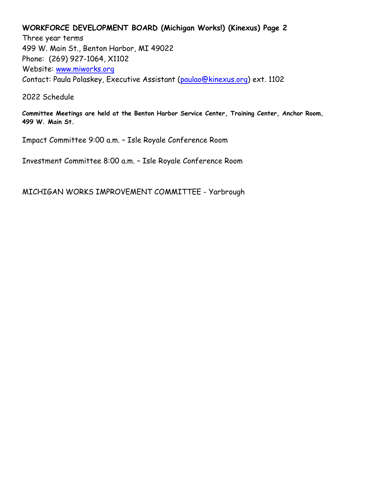#### **WORKFORCE DEVELOPMENT BOARD (Michigan Works!) (Kinexus) Page 2**

Three year terms 499 W. Main St., Benton Harbor, MI 49022 Phone: (269) 927-1064, X1102 Website: [www.miworks.org](http://www.miworks.org/) Contact: Paula Polaskey, Executive Assistant [\(paulao@kinexus.org\)](mailto:paulao@kinexus.org) ext. 1102

2022 Schedule

**Committee Meetings are held at the Benton Harbor Service Center, Training Center, Anchor Room, 499 W. Main St.**

Impact Committee 9:00 a.m. – Isle Royale Conference Room

Investment Committee 8:00 a.m. – Isle Royale Conference Room

MICHIGAN WORKS IMPROVEMENT COMMITTEE - Yarbrough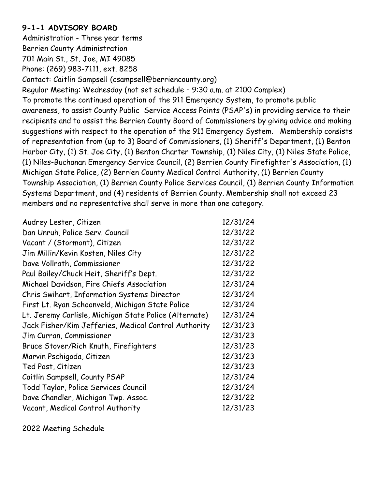#### **9-1-1 ADVISORY BOARD**

Administration - Three year terms Berrien County Administration 701 Main St., St. Joe, MI 49085 Phone: (269) 983-7111, ext. 8258 Contact: Caitlin Sampsell (csampsell@berriencounty.org) Regular Meeting: Wednesday (not set schedule – 9:30 a.m. at 2100 Complex) To promote the continued operation of the 911 Emergency System, to promote public awareness, to assist County Public Service Access Points (PSAP's) in providing service to their recipients and to assist the Berrien County Board of Commissioners by giving advice and making suggestions with respect to the operation of the 911 Emergency System. Membership consists of representation from (up to 3) Board of Commissioners, (1) Sheriff's Department, (1) Benton Harbor City, (1) St. Joe City, (1) Benton Charter Township, (1) Niles City, (1) Niles State Police, (1) Niles-Buchanan Emergency Service Council, (2) Berrien County Firefighter's Association, (1) Michigan State Police, (2) Berrien County Medical Control Authority, (1) Berrien County Township Association, (1) Berrien County Police Services Council, (1) Berrien County Information Systems Department, and (4) residents of Berrien County. Membership shall not exceed 23 members and no representative shall serve in more than one category.

| Audrey Lester, Citizen                                 | 12/31/24 |
|--------------------------------------------------------|----------|
| Dan Unruh, Police Serv. Council                        | 12/31/22 |
| Vacant / (Stormont), Citizen                           | 12/31/22 |
| Jim Millin/Kevin Kosten, Niles City                    | 12/31/22 |
| Dave Vollrath, Commissioner                            | 12/31/22 |
| Paul Bailey/Chuck Heit, Sheriff's Dept.                | 12/31/22 |
| Michael Davidson, Fire Chiefs Association              | 12/31/24 |
| Chris Swihart, Information Systems Director            | 12/31/24 |
| First Lt. Ryan Schoonveld, Michigan State Police       | 12/31/24 |
| Lt. Jeremy Carlisle, Michigan State Police (Alternate) | 12/31/24 |
| Jack Fisher/Kim Jefferies, Medical Control Authority   | 12/31/23 |
| Jim Curran, Commissioner                               | 12/31/23 |
| Bruce Stover/Rich Knuth, Firefighters                  | 12/31/23 |
| Marvin Pschigoda, Citizen                              | 12/31/23 |
| Ted Post, Citizen                                      | 12/31/23 |
| Caitlin Sampsell, County PSAP                          | 12/31/24 |
| Todd Taylor, Police Services Council                   | 12/31/24 |
| Dave Chandler, Michigan Twp. Assoc.                    | 12/31/22 |
| Vacant, Medical Control Authority                      | 12/31/23 |

2022 Meeting Schedule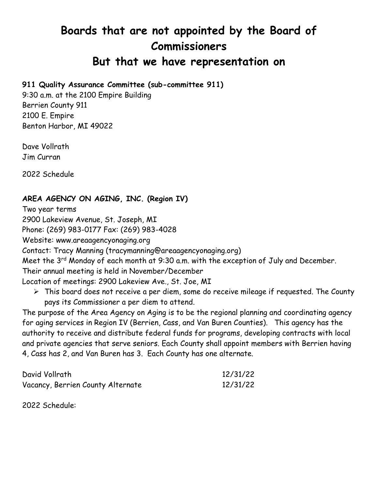# **Boards that are not appointed by the Board of Commissioners**

# **But that we have representation on**

#### **911 Quality Assurance Committee (sub-committee 911)**

9:30 a.m. at the 2100 Empire Building Berrien County 911 2100 E. Empire Benton Harbor, MI 49022

Dave Vollrath Jim Curran

2022 Schedule

#### **AREA AGENCY ON AGING, INC. (Region IV)**

Two year terms

2900 Lakeview Avenue, St. Joseph, MI

Phone: (269) 983-0177 Fax: (269) 983-4028

Website: www.areaagencyonaging.org

Contact: Tracy Manning (tracymanning@areaagencyonaging.org)

Meet the 3<sup>rd</sup> Monday of each month at 9:30 a.m. with the exception of July and December.

Their annual meeting is held in November/December

Location of meetings: 2900 Lakeview Ave., St. Joe, MI

 $\triangleright$  This board does not receive a per diem, some do receive mileage if requested. The County pays its Commissioner a per diem to attend.

The purpose of the Area Agency on Aging is to be the regional planning and coordinating agency for aging services in Region IV (Berrien, Cass, and Van Buren Counties). This agency has the authority to receive and distribute federal funds for programs, developing contracts with local and private agencies that serve seniors. Each County shall appoint members with Berrien having 4, Cass has 2, and Van Buren has 3. Each County has one alternate.

| David Vollrath                    | 12/31/22 |
|-----------------------------------|----------|
| Vacancy, Berrien County Alternate | 12/31/22 |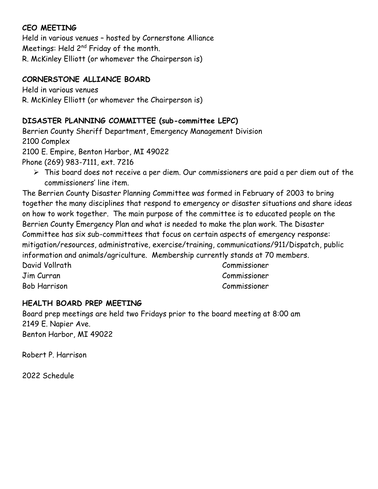#### **CEO MEETING**

Held in various venues – hosted by Cornerstone Alliance Meetings: Held 2nd Friday of the month. R. McKinley Elliott (or whomever the Chairperson is)

#### **CORNERSTONE ALLIANCE BOARD**

Held in various venues R. McKinley Elliott (or whomever the Chairperson is)

#### **DISASTER PLANNING COMMITTEE (sub-committee LEPC)**

Berrien County Sheriff Department, Emergency Management Division 2100 Complex 2100 E. Empire, Benton Harbor, MI 49022 Phone (269) 983-7111, ext. 7216

 $\triangleright$  This board does not receive a per diem. Our commissioners are paid a per diem out of the commissioners' line item.

The Berrien County Disaster Planning Committee was formed in February of 2003 to bring together the many disciplines that respond to emergency or disaster situations and share ideas on how to work together. The main purpose of the committee is to educated people on the Berrien County Emergency Plan and what is needed to make the plan work. The Disaster Committee has six sub-committees that focus on certain aspects of emergency response: mitigation/resources, administrative, exercise/training, communications/911/Dispatch, public information and animals/agriculture. Membership currently stands at 70 members. David Vollrath Commissioner Jim Curran Commissioner

Bob Harrison Commissioner

#### **HEALTH BOARD PREP MEETING**

Board prep meetings are held two Fridays prior to the board meeting at 8:00 am 2149 E. Napier Ave. Benton Harbor, MI 49022

Robert P. Harrison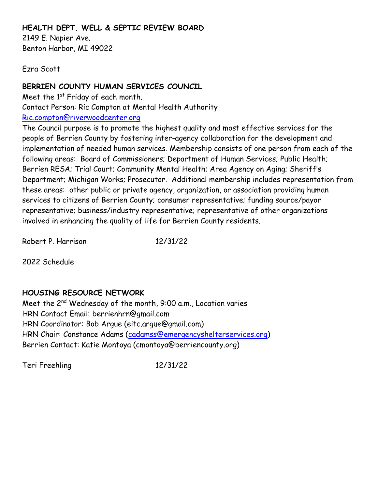#### **HEALTH DEPT. WELL & SEPTIC REVIEW BOARD**

2149 E. Napier Ave. Benton Harbor, MI 49022

Ezra Scott

#### **BERRIEN COUNTY HUMAN SERVICES COUNCIL**

Meet the  $1<sup>st</sup>$  Friday of each month. Contact Person: Ric Compton at Mental Health Authority [Ric.compton@riverwoodcenter.org](mailto:Ric.compton@riverwoodcenter.org)

The Council purpose is to promote the highest quality and most effective services for the people of Berrien County by fostering inter-agency collaboration for the development and implementation of needed human services. Membership consists of one person from each of the following areas: Board of Commissioners; Department of Human Services; Public Health; Berrien RESA; Trial Court; Community Mental Health; Area Agency on Aging; Sheriff's Department; Michigan Works; Prosecutor. Additional membership includes representation from these areas: other public or private agency, organization, or association providing human services to citizens of Berrien County; consumer representative; funding source/payor representative; business/industry representative; representative of other organizations involved in enhancing the quality of life for Berrien County residents.

Robert P. Harrison 12/31/22

2022 Schedule

#### **HOUSING RESOURCE NETWORK**

Meet the 2nd Wednesday of the month, 9:00 a.m., Location varies HRN Contact Email: berrienhrn@gmail.com HRN Coordinator: Bob Argue (eitc.argue@gmail.com) HRN Chair: Constance Adams [\(cadamss@emergencyshelterservices.org\)](mailto:cadamss@emergencyshelterservices.org) Berrien Contact: Katie Montoya (cmontoya@berriencounty.org)

Teri Freehling 12/31/22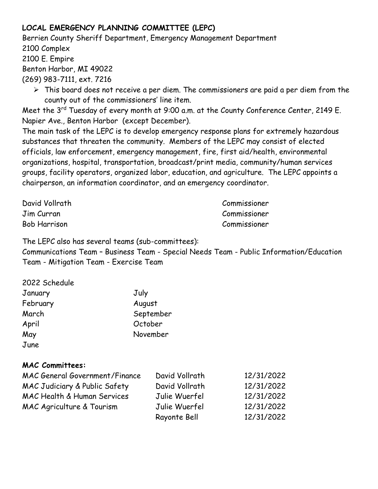### **LOCAL EMERGENCY PLANNING COMMITTEE (LEPC)**

Berrien County Sheriff Department, Emergency Management Department 2100 Complex 2100 E. Empire Benton Harbor, MI 49022 (269) 983-7111, ext. 7216

 $\triangleright$  This board does not receive a per diem. The commissioners are paid a per diem from the county out of the commissioners' line item.

Meet the 3<sup>rd</sup> Tuesday of every month at 9:00 a.m. at the County Conference Center, 2149 E. Napier Ave., Benton Harbor (except December).

The main task of the LEPC is to develop emergency response plans for extremely hazardous substances that threaten the community. Members of the LEPC may consist of elected officials, law enforcement, emergency management, fire, first aid/health, environmental organizations, hospital, transportation, broadcast/print media, community/human services groups, facility operators, organized labor, education, and agriculture. The LEPC appoints a chairperson, an information coordinator, and an emergency coordinator.

| David Vollrath      | Commissioner |
|---------------------|--------------|
| Jim Curran          | Commissioner |
| <b>Bob Harrison</b> | Commissioner |

The LEPC also has several teams (sub-committees):

Communications Team – Business Team - Special Needs Team - Public Information/Education Team - Mitigation Team - Exercise Team

| 2022 Schedule |           |
|---------------|-----------|
| January       | July      |
| February      | August    |
| March         | September |
| April         | October   |
| May           | November  |
| June          |           |

#### **MAC Committees:**

| <b>MAC General Government/Finance</b> | David Vollrath | 12/31/2022 |
|---------------------------------------|----------------|------------|
| MAC Judiciary & Public Safety         | David Vollrath | 12/31/2022 |
| MAC Health & Human Services           | Julie Wuerfel  | 12/31/2022 |
| MAC Agriculture & Tourism             | Julie Wuerfel  | 12/31/2022 |
|                                       | Rayonte Bell   | 12/31/2022 |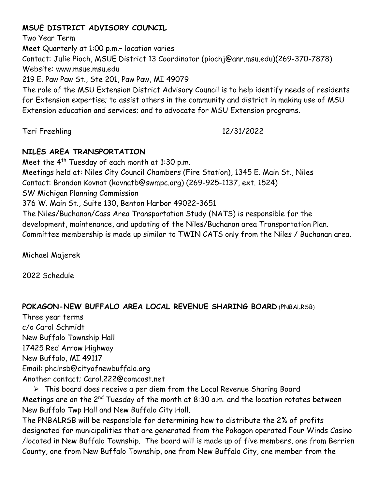#### **MSUE DISTRICT ADVISORY COUNCIL**

Two Year Term Meet Quarterly at 1:00 p.m.– location varies Contact: Julie Pioch, MSUE District 13 Coordinator (piochj@anr.msu.edu)(269-370-7878) Website: www.msue.msu.edu 219 E. Paw Paw St., Ste 201, Paw Paw, MI 49079 The role of the MSU Extension District Advisory Council is to help identify needs of residents for Extension expertise; to assist others in the community and district in making use of MSU Extension education and services; and to advocate for MSU Extension programs.

Teri Freehling 12/31/2022

#### **NILES AREA TRANSPORTATION**

Meet the  $4^{th}$  Tuesday of each month at 1:30 p.m. Meetings held at: Niles City Council Chambers (Fire Station), 1345 E. Main St., Niles Contact: Brandon Kovnat (kovnatb@swmpc.org) (269-925-1137, ext. 1524) SW Michigan Planning Commission 376 W. Main St., Suite 130, Benton Harbor 49022-3651 The Niles/Buchanan/Cass Area Transportation Study (NATS) is responsible for the development, maintenance, and updating of the Niles/Buchanan area Transportation Plan. Committee membership is made up similar to TWIN CATS only from the Niles / Buchanan area.

Michael Majerek

2022 Schedule

#### **POKAGON-NEW BUFFALO AREA LOCAL REVENUE SHARING BOARD** (PNBALRSB)

Three year terms c/o Carol Schmidt New Buffalo Township Hall 17425 Red Arrow Highway New Buffalo, MI 49117 Email: phclrsb@cityofnewbuffalo.org Another contact; Carol.222@comcast.net

 This board does receive a per diem from the Local Revenue Sharing Board Meetings are on the 2<sup>nd</sup> Tuesday of the month at 8:30 a.m. and the location rotates between New Buffalo Twp Hall and New Buffalo City Hall.

The PNBALRSB will be responsible for determining how to distribute the 2% of profits designated for municipalities that are generated from the Pokagon operated Four Winds Casino /located in New Buffalo Township. The board will is made up of five members, one from Berrien County, one from New Buffalo Township, one from New Buffalo City, one member from the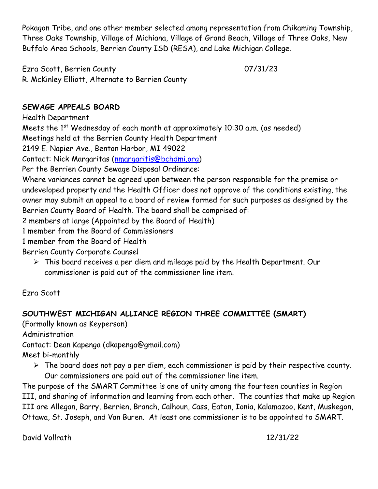Pokagon Tribe, and one other member selected among representation from Chikaming Township, Three Oaks Township, Village of Michiana, Village of Grand Beach, Village of Three Oaks, New Buffalo Area Schools, Berrien County ISD (RESA), and Lake Michigan College.

Ezra Scott, Berrien County 07/31/23 R. McKinley Elliott, Alternate to Berrien County

#### **SEWAGE APPEALS BOARD**

Health Department Meets the  $1<sup>st</sup>$  Wednesday of each month at approximately 10:30 a.m. (as needed) Meetings held at the Berrien County Health Department 2149 E. Napier Ave., Benton Harbor, MI 49022 Contact: Nick Margaritas [\(nmargaritis@bchdmi.org\)](mailto:nmargaritis@bchdmi.org) Per the Berrien County Sewage Disposal Ordinance: Where variances cannot be agreed upon between the person responsible for the premise or undeveloped property and the Health Officer does not approve of the conditions existing, the owner may submit an appeal to a board of review formed for such purposes as designed by the Berrien County Board of Health. The board shall be comprised of: 2 members at large (Appointed by the Board of Health) 1 member from the Board of Commissioners

1 member from the Board of Health

Berrien County Corporate Counsel

 This board receives a per diem and mileage paid by the Health Department. Our commissioner is paid out of the commissioner line item.

Ezra Scott

#### **SOUTHWEST MICHIGAN ALLIANCE REGION THREE COMMITTEE (SMART)**

(Formally known as Keyperson)

Administration

Contact: Dean Kapenga (dkapenga@gmail.com)

Meet bi-monthly

 $\triangleright$  The board does not pay a per diem, each commissioner is paid by their respective county. Our commissioners are paid out of the commissioner line item.

The purpose of the SMART Committee is one of unity among the fourteen counties in Region III, and sharing of information and learning from each other. The counties that make up Region III are Allegan, Barry, Berrien, Branch, Calhoun, Cass, Eaton, Ionia, Kalamazoo, Kent, Muskegon, Ottawa, St. Joseph, and Van Buren. At least one commissioner is to be appointed to SMART.

David Vollrath 12/31/22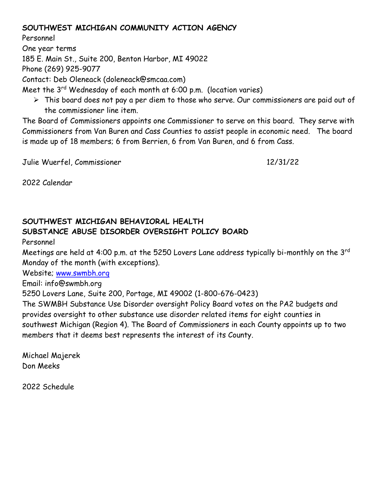#### **SOUTHWEST MICHIGAN COMMUNITY ACTION AGENCY**

Personnel

One year terms

185 E. Main St., Suite 200, Benton Harbor, MI 49022

Phone (269) 925-9077

Contact: Deb Oleneack (doleneack@smcaa.com)

Meet the 3<sup>rd</sup> Wednesday of each month at 6:00 p.m. (location varies)

 $\triangleright$  This board does not pay a per diem to those who serve. Our commissioners are paid out of the commissioner line item.

The Board of Commissioners appoints one Commissioner to serve on this board. They serve with Commissioners from Van Buren and Cass Counties to assist people in economic need. The board is made up of 18 members; 6 from Berrien, 6 from Van Buren, and 6 from Cass.

Julie Wuerfel, Commissioner 12/31/22

2022 Calendar

#### **SOUTHWEST MICHIGAN BEHAVIORAL HEALTH SUBSTANCE ABUSE DISORDER OVERSIGHT POLICY BOARD**

Personnel

Meetings are held at 4:00 p.m. at the 5250 Lovers Lane address typically bi-monthly on the 3rd Monday of the month (with exceptions).

Website; [www.swmbh.org](http://www.swmbh.org/)

Email: info@swmbh.org

5250 Lovers Lane, Suite 200, Portage, MI 49002 (1-800-676-0423)

The SWMBH Substance Use Disorder oversight Policy Board votes on the PA2 budgets and provides oversight to other substance use disorder related items for eight counties in southwest Michigan (Region 4). The Board of Commissioners in each County appoints up to two members that it deems best represents the interest of its County.

Michael Majerek Don Meeks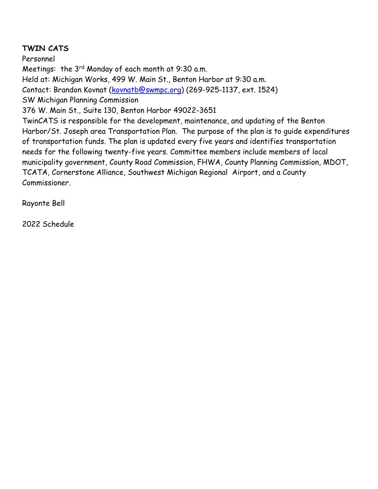#### **TWIN CATS**

Personnel Meetings: the 3<sup>rd</sup> Monday of each month at 9:30 a.m. Held at: Michigan Works, 499 W. Main St., Benton Harbor at 9:30 a.m. Contact: Brandon Kovnat [\(kovnatb@swmpc.org\)](mailto:kovnatb@swmpc.org) (269-925-1137, ext. 1524) SW Michigan Planning Commission 376 W. Main St., Suite 130, Benton Harbor 49022-3651 TwinCATS is responsible for the development, maintenance, and updating of the Benton Harbor/St. Joseph area Transportation Plan. The purpose of the plan is to guide expenditures of transportation funds. The plan is updated every five years and identifies transportation needs for the following twenty-five years. Committee members include members of local municipality government, County Road Commission, FHWA, County Planning Commission, MDOT, TCATA, Cornerstone Alliance, Southwest Michigan Regional Airport, and a County Commissioner.

Rayonte Bell